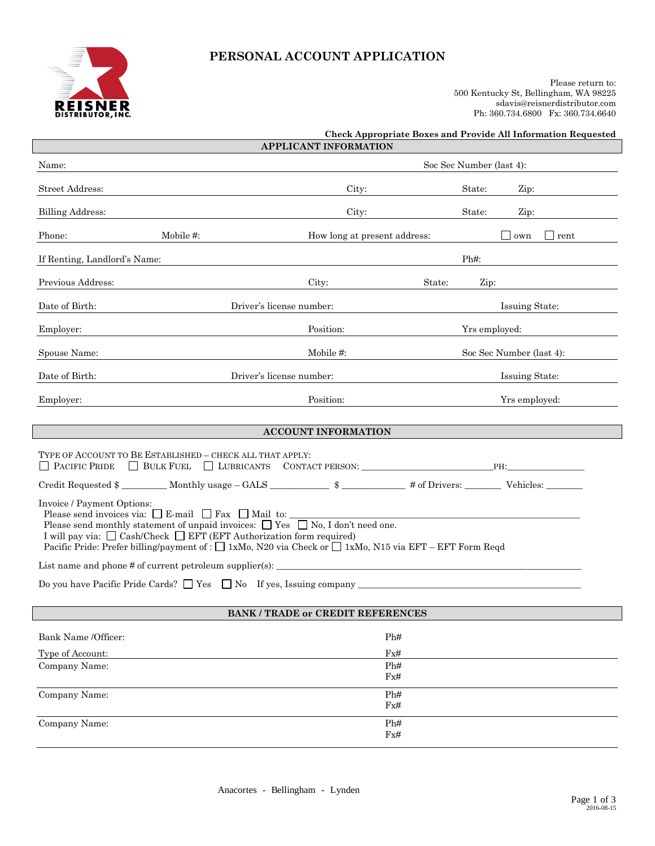

# **PERSONAL ACCOUNT APPLICATION**

Please return to: 500 Kentucky St, Bellingham, WA 98225 sdavis@reisnerdistributor.com Ph: 360.734.6800 Fx: 360.734.6640

| Soc Sec Number (last 4):<br>Name:<br><b>Street Address:</b><br>City:<br>State:<br>Zip:<br><b>Billing Address:</b><br>City:<br>State:<br>Zip:<br>Phone:<br>Mobile #:<br>How long at present address:<br>$\sim$ 0 0 0 $\sigma$<br>rent<br>$Ph#$ :<br>If Renting, Landlord's Name:<br>Previous Address:<br>City:<br>State:<br>Zip:<br>Date of Birth:<br>Driver's license number:<br>Issuing State:<br>Position:<br>Employer:<br>Yrs employed:<br>Spouse Name:<br>Mobile #:<br>Soc Sec Number (last 4):<br>Date of Birth:<br>Driver's license number:<br>Issuing State:<br>Position:<br>Employer:<br>Yrs employed:<br><b>ACCOUNT INFORMATION</b><br>TYPE OF ACCOUNT TO BE ESTABLISHED – CHECK ALL THAT APPLY:<br>BULK FUEL ULIBRICANTS CONTACT PERSON: PH:<br><b>PACIFIC PRIDE</b><br>Credit Requested $\frac{1}{2}$ Monthly usage - GALS $\frac{1}{2}$ $\frac{1}{2}$ $\frac{1}{2}$ $\frac{1}{2}$ of Drivers: Vehicles:<br>Invoice / Payment Options:<br>Please send invoices via: $\Box$ E-mail $\Box$ Fax $\Box$ Mail to:<br>Please send monthly statement of unpaid invoices: $\Box$ Yes $\Box$ No, I don't need one.<br>I will pay via: □ Cash/Check □ EFT (EFT Authorization form required)<br>Pacific Pride: Prefer billing/payment of : $\Box$ 1xMo, N20 via Check or $\Box$ 1xMo, N15 via EFT – EFT Form Regd<br>Do you have Pacific Pride Cards? $\Box$ Yes $\Box$ No If yes, Issuing company<br><b>BANK / TRADE or CREDIT REFERENCES</b><br>Bank Name /Officer:<br>Ph#<br>$\rm{Fx\#}$<br>Type of Account:<br>Company Name:<br>Ph#<br>Fx#<br>Ph#<br>Company Name:<br>$\rm{Fx\#}$<br>Company Name:<br>Ph#<br>Fx# |  | <b>APPLICANT INFORMATION</b> | <b>Check Appropriate Boxes and Provide All Information Requested</b> |  |  |  |  |
|----------------------------------------------------------------------------------------------------------------------------------------------------------------------------------------------------------------------------------------------------------------------------------------------------------------------------------------------------------------------------------------------------------------------------------------------------------------------------------------------------------------------------------------------------------------------------------------------------------------------------------------------------------------------------------------------------------------------------------------------------------------------------------------------------------------------------------------------------------------------------------------------------------------------------------------------------------------------------------------------------------------------------------------------------------------------------------------------------------------------------------------------------------------------------------------------------------------------------------------------------------------------------------------------------------------------------------------------------------------------------------------------------------------------------------------------------------------------------------------------------------------------------------------------------------------------------------------------------------------------|--|------------------------------|----------------------------------------------------------------------|--|--|--|--|
|                                                                                                                                                                                                                                                                                                                                                                                                                                                                                                                                                                                                                                                                                                                                                                                                                                                                                                                                                                                                                                                                                                                                                                                                                                                                                                                                                                                                                                                                                                                                                                                                                      |  |                              |                                                                      |  |  |  |  |
|                                                                                                                                                                                                                                                                                                                                                                                                                                                                                                                                                                                                                                                                                                                                                                                                                                                                                                                                                                                                                                                                                                                                                                                                                                                                                                                                                                                                                                                                                                                                                                                                                      |  |                              |                                                                      |  |  |  |  |
|                                                                                                                                                                                                                                                                                                                                                                                                                                                                                                                                                                                                                                                                                                                                                                                                                                                                                                                                                                                                                                                                                                                                                                                                                                                                                                                                                                                                                                                                                                                                                                                                                      |  |                              |                                                                      |  |  |  |  |
|                                                                                                                                                                                                                                                                                                                                                                                                                                                                                                                                                                                                                                                                                                                                                                                                                                                                                                                                                                                                                                                                                                                                                                                                                                                                                                                                                                                                                                                                                                                                                                                                                      |  |                              |                                                                      |  |  |  |  |
|                                                                                                                                                                                                                                                                                                                                                                                                                                                                                                                                                                                                                                                                                                                                                                                                                                                                                                                                                                                                                                                                                                                                                                                                                                                                                                                                                                                                                                                                                                                                                                                                                      |  |                              |                                                                      |  |  |  |  |
|                                                                                                                                                                                                                                                                                                                                                                                                                                                                                                                                                                                                                                                                                                                                                                                                                                                                                                                                                                                                                                                                                                                                                                                                                                                                                                                                                                                                                                                                                                                                                                                                                      |  |                              |                                                                      |  |  |  |  |
|                                                                                                                                                                                                                                                                                                                                                                                                                                                                                                                                                                                                                                                                                                                                                                                                                                                                                                                                                                                                                                                                                                                                                                                                                                                                                                                                                                                                                                                                                                                                                                                                                      |  |                              |                                                                      |  |  |  |  |
|                                                                                                                                                                                                                                                                                                                                                                                                                                                                                                                                                                                                                                                                                                                                                                                                                                                                                                                                                                                                                                                                                                                                                                                                                                                                                                                                                                                                                                                                                                                                                                                                                      |  |                              |                                                                      |  |  |  |  |
|                                                                                                                                                                                                                                                                                                                                                                                                                                                                                                                                                                                                                                                                                                                                                                                                                                                                                                                                                                                                                                                                                                                                                                                                                                                                                                                                                                                                                                                                                                                                                                                                                      |  |                              |                                                                      |  |  |  |  |
|                                                                                                                                                                                                                                                                                                                                                                                                                                                                                                                                                                                                                                                                                                                                                                                                                                                                                                                                                                                                                                                                                                                                                                                                                                                                                                                                                                                                                                                                                                                                                                                                                      |  |                              |                                                                      |  |  |  |  |
|                                                                                                                                                                                                                                                                                                                                                                                                                                                                                                                                                                                                                                                                                                                                                                                                                                                                                                                                                                                                                                                                                                                                                                                                                                                                                                                                                                                                                                                                                                                                                                                                                      |  |                              |                                                                      |  |  |  |  |
|                                                                                                                                                                                                                                                                                                                                                                                                                                                                                                                                                                                                                                                                                                                                                                                                                                                                                                                                                                                                                                                                                                                                                                                                                                                                                                                                                                                                                                                                                                                                                                                                                      |  |                              |                                                                      |  |  |  |  |
|                                                                                                                                                                                                                                                                                                                                                                                                                                                                                                                                                                                                                                                                                                                                                                                                                                                                                                                                                                                                                                                                                                                                                                                                                                                                                                                                                                                                                                                                                                                                                                                                                      |  |                              |                                                                      |  |  |  |  |
|                                                                                                                                                                                                                                                                                                                                                                                                                                                                                                                                                                                                                                                                                                                                                                                                                                                                                                                                                                                                                                                                                                                                                                                                                                                                                                                                                                                                                                                                                                                                                                                                                      |  |                              |                                                                      |  |  |  |  |
|                                                                                                                                                                                                                                                                                                                                                                                                                                                                                                                                                                                                                                                                                                                                                                                                                                                                                                                                                                                                                                                                                                                                                                                                                                                                                                                                                                                                                                                                                                                                                                                                                      |  |                              |                                                                      |  |  |  |  |
|                                                                                                                                                                                                                                                                                                                                                                                                                                                                                                                                                                                                                                                                                                                                                                                                                                                                                                                                                                                                                                                                                                                                                                                                                                                                                                                                                                                                                                                                                                                                                                                                                      |  |                              |                                                                      |  |  |  |  |
|                                                                                                                                                                                                                                                                                                                                                                                                                                                                                                                                                                                                                                                                                                                                                                                                                                                                                                                                                                                                                                                                                                                                                                                                                                                                                                                                                                                                                                                                                                                                                                                                                      |  |                              |                                                                      |  |  |  |  |
|                                                                                                                                                                                                                                                                                                                                                                                                                                                                                                                                                                                                                                                                                                                                                                                                                                                                                                                                                                                                                                                                                                                                                                                                                                                                                                                                                                                                                                                                                                                                                                                                                      |  |                              |                                                                      |  |  |  |  |
|                                                                                                                                                                                                                                                                                                                                                                                                                                                                                                                                                                                                                                                                                                                                                                                                                                                                                                                                                                                                                                                                                                                                                                                                                                                                                                                                                                                                                                                                                                                                                                                                                      |  |                              |                                                                      |  |  |  |  |
|                                                                                                                                                                                                                                                                                                                                                                                                                                                                                                                                                                                                                                                                                                                                                                                                                                                                                                                                                                                                                                                                                                                                                                                                                                                                                                                                                                                                                                                                                                                                                                                                                      |  |                              |                                                                      |  |  |  |  |
|                                                                                                                                                                                                                                                                                                                                                                                                                                                                                                                                                                                                                                                                                                                                                                                                                                                                                                                                                                                                                                                                                                                                                                                                                                                                                                                                                                                                                                                                                                                                                                                                                      |  |                              |                                                                      |  |  |  |  |
|                                                                                                                                                                                                                                                                                                                                                                                                                                                                                                                                                                                                                                                                                                                                                                                                                                                                                                                                                                                                                                                                                                                                                                                                                                                                                                                                                                                                                                                                                                                                                                                                                      |  |                              |                                                                      |  |  |  |  |
|                                                                                                                                                                                                                                                                                                                                                                                                                                                                                                                                                                                                                                                                                                                                                                                                                                                                                                                                                                                                                                                                                                                                                                                                                                                                                                                                                                                                                                                                                                                                                                                                                      |  |                              |                                                                      |  |  |  |  |
|                                                                                                                                                                                                                                                                                                                                                                                                                                                                                                                                                                                                                                                                                                                                                                                                                                                                                                                                                                                                                                                                                                                                                                                                                                                                                                                                                                                                                                                                                                                                                                                                                      |  |                              |                                                                      |  |  |  |  |
|                                                                                                                                                                                                                                                                                                                                                                                                                                                                                                                                                                                                                                                                                                                                                                                                                                                                                                                                                                                                                                                                                                                                                                                                                                                                                                                                                                                                                                                                                                                                                                                                                      |  |                              |                                                                      |  |  |  |  |
|                                                                                                                                                                                                                                                                                                                                                                                                                                                                                                                                                                                                                                                                                                                                                                                                                                                                                                                                                                                                                                                                                                                                                                                                                                                                                                                                                                                                                                                                                                                                                                                                                      |  |                              |                                                                      |  |  |  |  |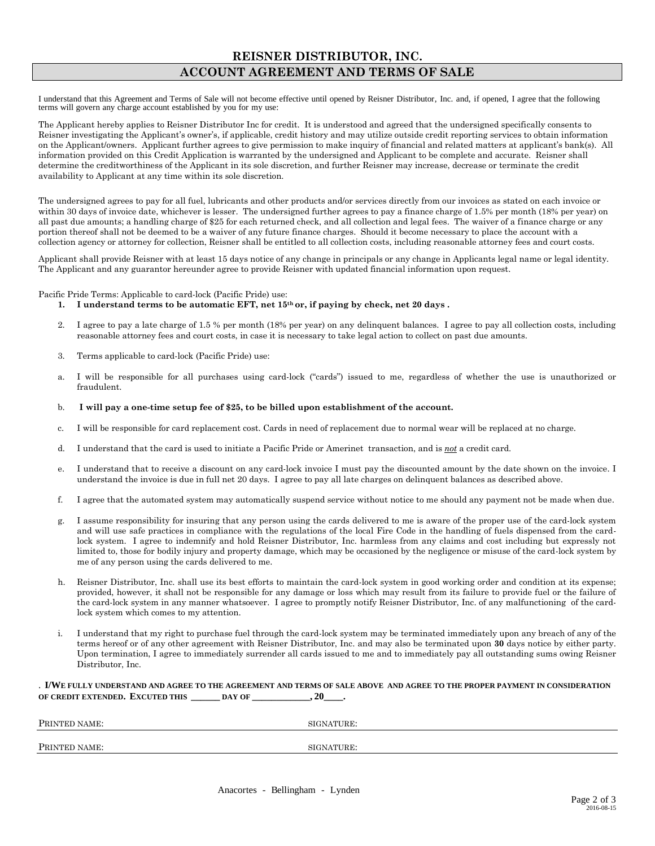# **REISNER DISTRIBUTOR, INC. ACCOUNT AGREEMENT AND TERMS OF SALE**

I understand that this Agreement and Terms of Sale will not become effective until opened by Reisner Distributor, Inc. and, if opened, I agree that the following terms will govern any charge account established by you for my use:

The Applicant hereby applies to Reisner Distributor Inc for credit. It is understood and agreed that the undersigned specifically consents to Reisner investigating the Applicant's owner's, if applicable, credit history and may utilize outside credit reporting services to obtain information on the Applicant/owners. Applicant further agrees to give permission to make inquiry of financial and related matters at applicant's bank(s). All information provided on this Credit Application is warranted by the undersigned and Applicant to be complete and accurate. Reisner shall determine the creditworthiness of the Applicant in its sole discretion, and further Reisner may increase, decrease or terminate the credit availability to Applicant at any time within its sole discretion.

The undersigned agrees to pay for all fuel, lubricants and other products and/or services directly from our invoices as stated on each invoice or within 30 days of invoice date, whichever is lesser. The undersigned further agrees to pay a finance charge of 1.5% per month (18% per year) on all past due amounts; a handling charge of \$25 for each returned check, and all collection and legal fees. The waiver of a finance charge or any portion thereof shall not be deemed to be a waiver of any future finance charges. Should it become necessary to place the account with a collection agency or attorney for collection, Reisner shall be entitled to all collection costs, including reasonable attorney fees and court costs.

Applicant shall provide Reisner with at least 15 days notice of any change in principals or any change in Applicants legal name or legal identity. The Applicant and any guarantor hereunder agree to provide Reisner with updated financial information upon request.

Pacific Pride Terms: Applicable to card-lock (Pacific Pride) use:

- **1. I understand terms to be automatic EFT, net 15th or, if paying by check, net 20 days .**
- 2. I agree to pay a late charge of 1.5 % per month (18% per year) on any delinquent balances. I agree to pay all collection costs, including reasonable attorney fees and court costs, in case it is necessary to take legal action to collect on past due amounts.
- 3. Terms applicable to card-lock (Pacific Pride) use:
- a. I will be responsible for all purchases using card-lock ("cards") issued to me, regardless of whether the use is unauthorized or fraudulent.
- b. **I will pay a one-time setup fee of \$25, to be billed upon establishment of the account.**
- c. I will be responsible for card replacement cost. Cards in need of replacement due to normal wear will be replaced at no charge.
- d. I understand that the card is used to initiate a Pacific Pride or Amerinet transaction, and is *not* a credit card.
- e. I understand that to receive a discount on any card-lock invoice I must pay the discounted amount by the date shown on the invoice. I understand the invoice is due in full net 20 days. I agree to pay all late charges on delinquent balances as described above.
- f. I agree that the automated system may automatically suspend service without notice to me should any payment not be made when due.
- g. I assume responsibility for insuring that any person using the cards delivered to me is aware of the proper use of the card-lock system and will use safe practices in compliance with the regulations of the local Fire Code in the handling of fuels dispensed from the cardlock system. I agree to indemnify and hold Reisner Distributor, Inc. harmless from any claims and cost including but expressly not limited to, those for bodily injury and property damage, which may be occasioned by the negligence or misuse of the card-lock system by me of any person using the cards delivered to me.
- h. Reisner Distributor, Inc. shall use its best efforts to maintain the card-lock system in good working order and condition at its expense; provided, however, it shall not be responsible for any damage or loss which may result from its failure to provide fuel or the failure of the card-lock system in any manner whatsoever. I agree to promptly notify Reisner Distributor, Inc. of any malfunctioning of the cardlock system which comes to my attention.
- i. I understand that my right to purchase fuel through the card-lock system may be terminated immediately upon any breach of any of the terms hereof or of any other agreement with Reisner Distributor, Inc. and may also be terminated upon **30** days notice by either party. Upon termination, I agree to immediately surrender all cards issued to me and to immediately pay all outstanding sums owing Reisner Distributor, Inc.

#### . **I/WE FULLY UNDERSTAND AND AGREE TO THE AGREEMENT AND TERMS OF SALE ABOVE AND AGREE TO THE PROPER PAYMENT IN CONSIDERATION OF CREDIT EXTENDED. EXCUTED THIS \_\_\_\_\_\_ DAY OF \_\_\_\_\_\_\_\_\_\_\_\_, 20\_\_\_\_.**

| PRINTED NAME:<br>SIGNATURE: |  |
|-----------------------------|--|
| PRINTED NAME:<br>SIGNATURE: |  |